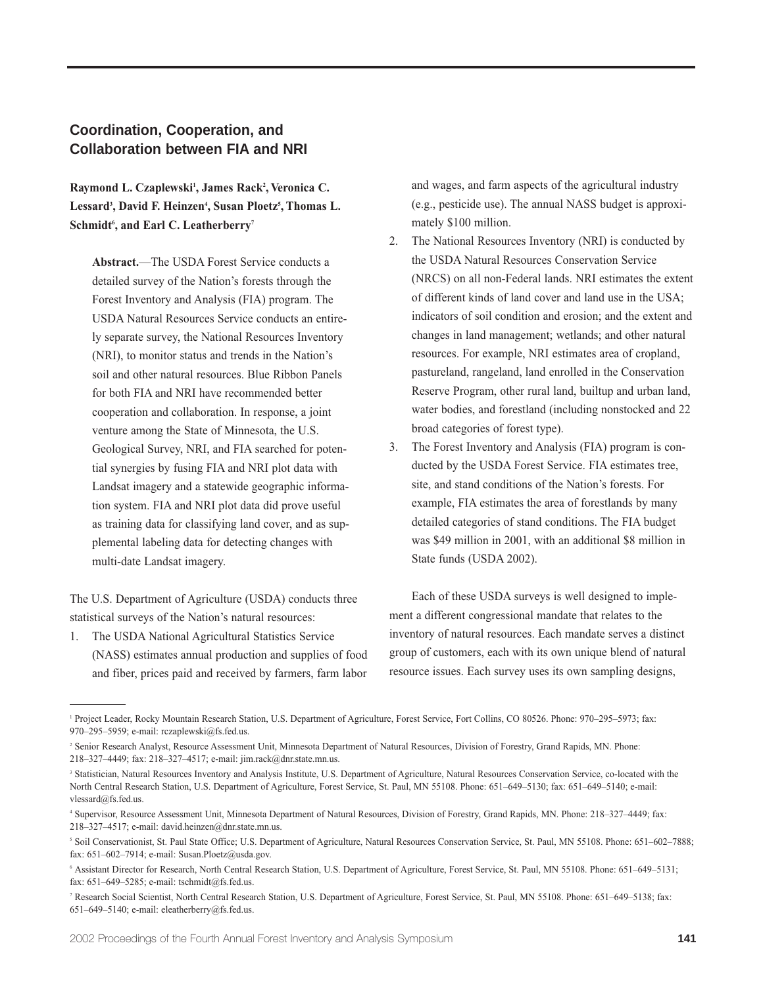# **Coordination, Cooperation, and Collaboration between FIA and NRI**

Raymond L. Czaplewski<sup>1</sup>, James Rack<sup>2</sup>, Veronica C. **Lessard3 , David F. Heinzen4 , Susan Ploetz5 , Thomas L. Schmidt6 , and Earl C. Leatherberry7**

**Abstract.**—The USDA Forest Service conducts a detailed survey of the Nation's forests through the Forest Inventory and Analysis (FIA) program. The USDA Natural Resources Service conducts an entirely separate survey, the National Resources Inventory (NRI), to monitor status and trends in the Nation's soil and other natural resources. Blue Ribbon Panels for both FIA and NRI have recommended better cooperation and collaboration. In response, a joint venture among the State of Minnesota, the U.S. Geological Survey, NRI, and FIA searched for potential synergies by fusing FIA and NRI plot data with Landsat imagery and a statewide geographic information system. FIA and NRI plot data did prove useful as training data for classifying land cover, and as supplemental labeling data for detecting changes with multi-date Landsat imagery.

The U.S. Department of Agriculture (USDA) conducts three statistical surveys of the Nation's natural resources:

1. The USDA National Agricultural Statistics Service (NASS) estimates annual production and supplies of food and fiber, prices paid and received by farmers, farm labor and wages, and farm aspects of the agricultural industry (e.g., pesticide use). The annual NASS budget is approximately \$100 million.

- 2. The National Resources Inventory (NRI) is conducted by the USDA Natural Resources Conservation Service (NRCS) on all non-Federal lands. NRI estimates the extent of different kinds of land cover and land use in the USA; indicators of soil condition and erosion; and the extent and changes in land management; wetlands; and other natural resources. For example, NRI estimates area of cropland, pastureland, rangeland, land enrolled in the Conservation Reserve Program, other rural land, builtup and urban land, water bodies, and forestland (including nonstocked and 22 broad categories of forest type).
- 3. The Forest Inventory and Analysis (FIA) program is conducted by the USDA Forest Service. FIA estimates tree, site, and stand conditions of the Nation's forests. For example, FIA estimates the area of forestlands by many detailed categories of stand conditions. The FIA budget was \$49 million in 2001, with an additional \$8 million in State funds (USDA 2002).

Each of these USDA surveys is well designed to implement a different congressional mandate that relates to the inventory of natural resources. Each mandate serves a distinct group of customers, each with its own unique blend of natural resource issues. Each survey uses its own sampling designs,

<sup>1</sup> Project Leader, Rocky Mountain Research Station, U.S. Department of Agriculture, Forest Service, Fort Collins, CO 80526. Phone: 970–295–5973; fax: 970–295–5959; e-mail: rczaplewski@fs.fed.us.

<sup>2</sup> Senior Research Analyst, Resource Assessment Unit, Minnesota Department of Natural Resources, Division of Forestry, Grand Rapids, MN. Phone: 218–327–4449; fax: 218–327–4517; e-mail: jim.rack@dnr.state.mn.us.

<sup>&</sup>lt;sup>3</sup> Statistician, Natural Resources Inventory and Analysis Institute, U.S. Department of Agriculture, Natural Resources Conservation Service, co-located with the North Central Research Station, U.S. Department of Agriculture, Forest Service, St. Paul, MN 55108. Phone: 651–649–5130; fax: 651–649–5140; e-mail: vlessard@fs.fed.us.

<sup>4</sup> Supervisor, Resource Assessment Unit, Minnesota Department of Natural Resources, Division of Forestry, Grand Rapids, MN. Phone: 218–327–4449; fax: 218–327–4517; e-mail: david.heinzen@dnr.state.mn.us.

<sup>5</sup> Soil Conservationist, St. Paul State Office; U.S. Department of Agriculture, Natural Resources Conservation Service, St. Paul, MN 55108. Phone: 651–602–7888; fax: 651–602–7914; e-mail: Susan.Ploetz@usda.gov.

<sup>6</sup> Assistant Director for Research, North Central Research Station, U.S. Department of Agriculture, Forest Service, St. Paul, MN 55108. Phone: 651–649–5131; fax: 651–649–5285; e-mail: tschmidt@fs.fed.us.

<sup>7</sup> Research Social Scientist, North Central Research Station, U.S. Department of Agriculture, Forest Service, St. Paul, MN 55108. Phone: 651–649–5138; fax: 651–649–5140; e-mail: eleatherberry@fs.fed.us.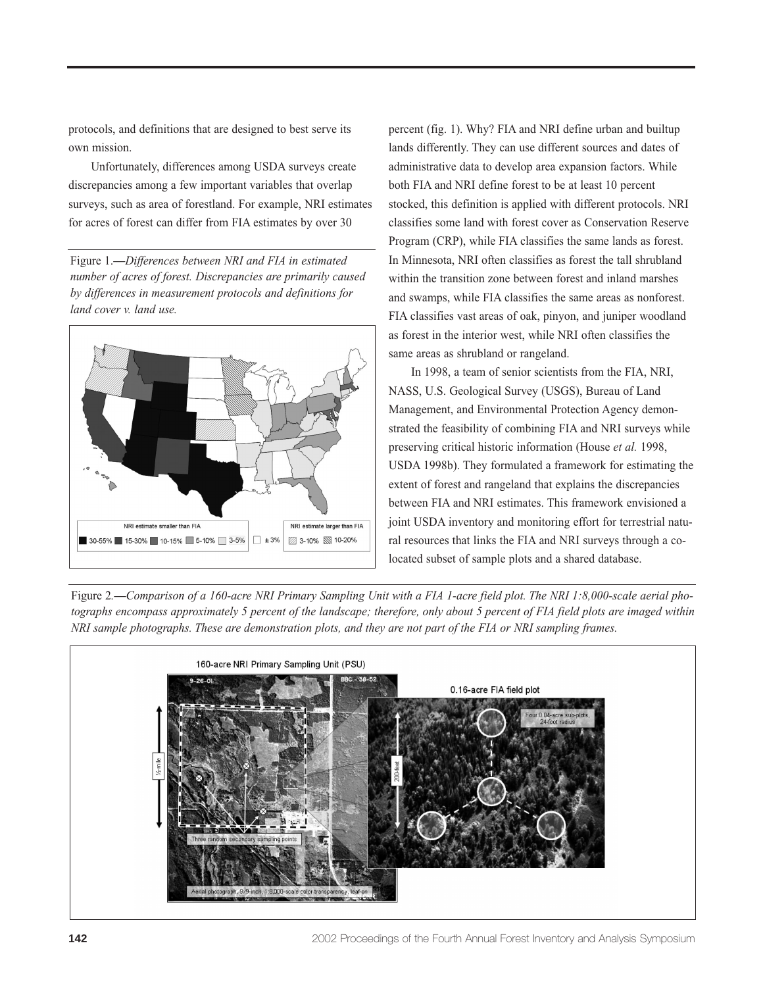protocols, and definitions that are designed to best serve its own mission.

Unfortunately, differences among USDA surveys create discrepancies among a few important variables that overlap surveys, such as area of forestland. For example, NRI estimates for acres of forest can differ from FIA estimates by over 30

Figure 1.**—***Differences between NRI and FIA in estimated number of acres of forest. Discrepancies are primarily caused by differences in measurement protocols and definitions for land cover v. land use.*



percent (fig. 1). Why? FIA and NRI define urban and builtup lands differently. They can use different sources and dates of administrative data to develop area expansion factors. While both FIA and NRI define forest to be at least 10 percent stocked, this definition is applied with different protocols. NRI classifies some land with forest cover as Conservation Reserve Program (CRP), while FIA classifies the same lands as forest. In Minnesota, NRI often classifies as forest the tall shrubland within the transition zone between forest and inland marshes and swamps, while FIA classifies the same areas as nonforest. FIA classifies vast areas of oak, pinyon, and juniper woodland as forest in the interior west, while NRI often classifies the same areas as shrubland or rangeland.

In 1998, a team of senior scientists from the FIA, NRI, NASS, U.S. Geological Survey (USGS), Bureau of Land Management, and Environmental Protection Agency demonstrated the feasibility of combining FIA and NRI surveys while preserving critical historic information (House *et al.* 1998, USDA 1998b). They formulated a framework for estimating the extent of forest and rangeland that explains the discrepancies between FIA and NRI estimates. This framework envisioned a joint USDA inventory and monitoring effort for terrestrial natural resources that links the FIA and NRI surveys through a colocated subset of sample plots and a shared database.

Figure 2*.***—***Comparison of a 160-acre NRI Primary Sampling Unit with a FIA 1-acre field plot. The NRI 1:8,000-scale aerial photographs encompass approximately 5 percent of the landscape; therefore, only about 5 percent of FIA field plots are imaged within NRI sample photographs. These are demonstration plots, and they are not part of the FIA or NRI sampling frames.*

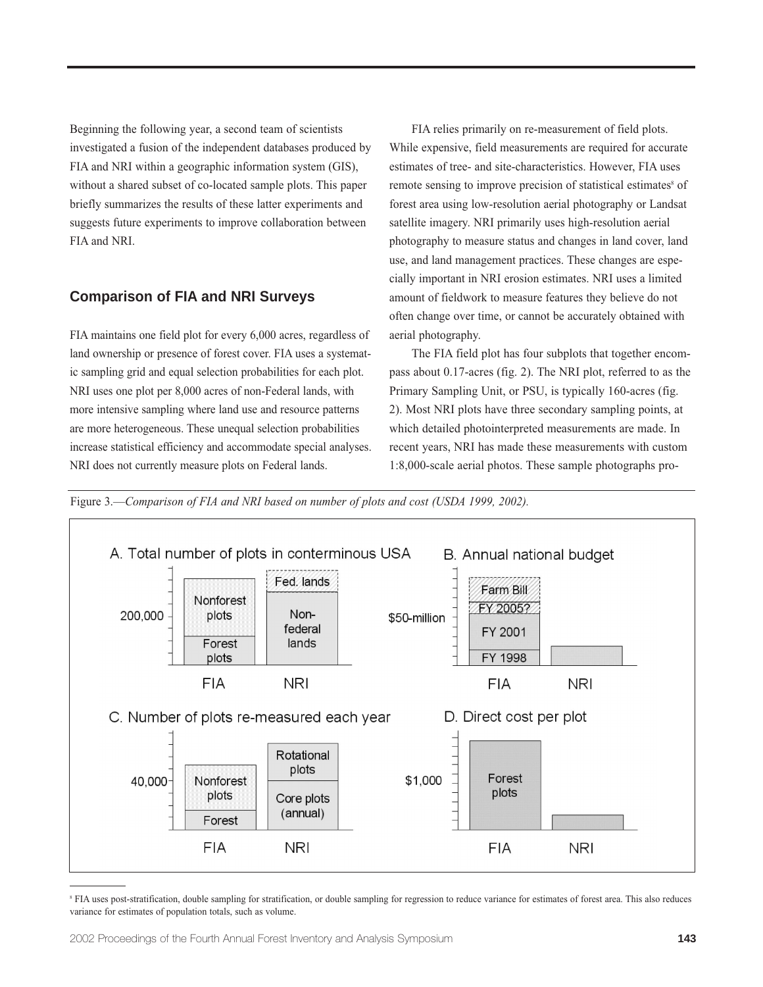Beginning the following year, a second team of scientists investigated a fusion of the independent databases produced by FIA and NRI within a geographic information system (GIS), without a shared subset of co-located sample plots. This paper briefly summarizes the results of these latter experiments and suggests future experiments to improve collaboration between FIA and NRI.

## **Comparison of FIA and NRI Surveys**

FIA maintains one field plot for every 6,000 acres, regardless of land ownership or presence of forest cover. FIA uses a systematic sampling grid and equal selection probabilities for each plot. NRI uses one plot per 8,000 acres of non-Federal lands, with more intensive sampling where land use and resource patterns are more heterogeneous. These unequal selection probabilities increase statistical efficiency and accommodate special analyses. NRI does not currently measure plots on Federal lands.

FIA relies primarily on re-measurement of field plots. While expensive, field measurements are required for accurate estimates of tree- and site-characteristics. However, FIA uses remote sensing to improve precision of statistical estimates<sup>8</sup> of forest area using low-resolution aerial photography or Landsat satellite imagery. NRI primarily uses high-resolution aerial photography to measure status and changes in land cover, land use, and land management practices. These changes are especially important in NRI erosion estimates. NRI uses a limited amount of fieldwork to measure features they believe do not often change over time, or cannot be accurately obtained with aerial photography.

The FIA field plot has four subplots that together encompass about 0.17-acres (fig. 2). The NRI plot, referred to as the Primary Sampling Unit, or PSU, is typically 160-acres (fig. 2). Most NRI plots have three secondary sampling points, at which detailed photointerpreted measurements are made. In recent years, NRI has made these measurements with custom 1:8,000-scale aerial photos. These sample photographs pro-

Figure 3.—*Comparison of FIA and NRI based on number of plots and cost (USDA 1999, 2002).*



<sup>&</sup>lt;sup>8</sup> FIA uses post-stratification, double sampling for stratification, or double sampling for regression to reduce variance for estimates of forest area. This also reduces variance for estimates of population totals, such as volume.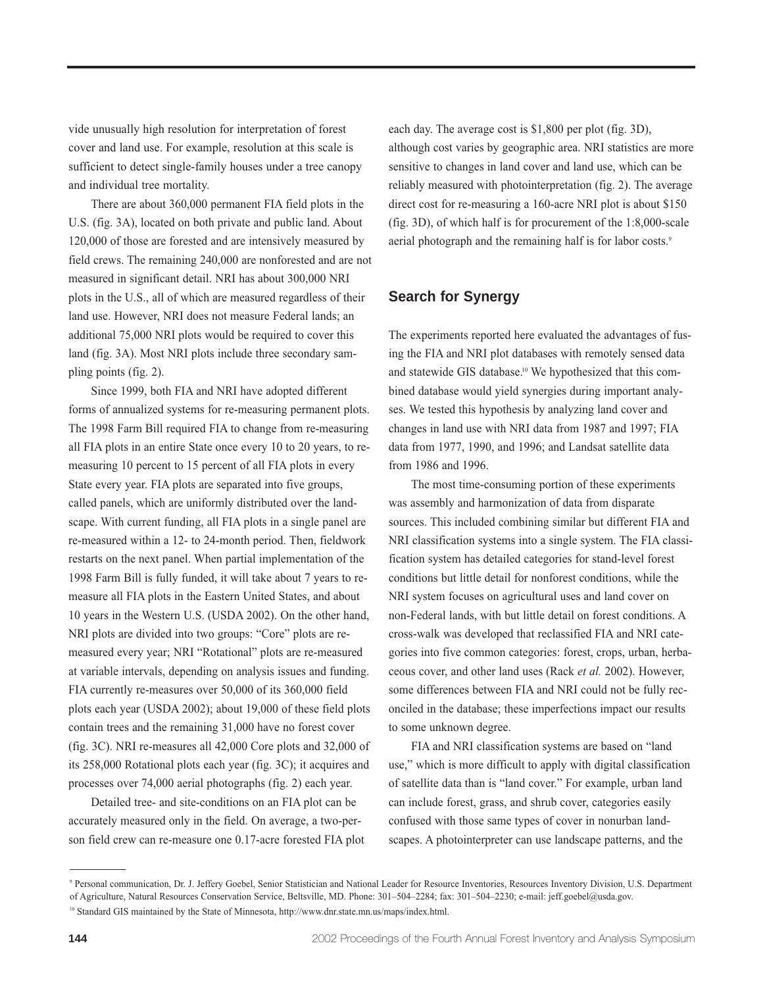vide unusually high resolution for interpretation of forest cover and land use. For example, resolution at this scale is sufficient to detect single-family houses under a tree canopy and individual tree mortality.

There are about 360,000 permanent FIA field plots in the U.S. (fig. 3A), located on both private and public land. About 120,000 of those are forested and are intensively measured by field crews. The remaining 240,000 are nonforested and are not measured in significant detail. NRI has about 300,000 NRI plots in the U.S., all of which are measured regardless of their land use. However, NRI does not measure Federal lands; an additional 75,000 NRI plots would be required to cover this land (fig. 3A). Most NRI plots include three secondary sampling points (fig. 2).

Since 1999, both FIA and NRI have adopted different forms of annualized systems for re-measuring permanent plots. The 1998 Farm Bill required FIA to change from re-measuring all FIA plots in an entire State once every 10 to 20 years, to remeasuring 10 percent to 15 percent of all FIA plots in every State every year. FIA plots are separated into five groups, called panels, which are uniformly distributed over the landscape. With current funding, all FIA plots in a single panel are re-measured within a 12- to 24-month period. Then, fieldwork restarts on the next panel. When partial implementation of the 1998 Farm Bill is fully funded, it will take about 7 years to remeasure all FIA plots in the Eastern United States, and about 10 years in the Western U.S. (USDA 2002). On the other hand, NRI plots are divided into two groups: "Core" plots are remeasured every year; NRI "Rotational" plots are re-measured at variable intervals, depending on analysis issues and funding. FIA currently re-measures over 50,000 of its 360,000 field plots each year (USDA 2002); about 19,000 of these field plots contain trees and the remaining 31,000 have no forest cover (fig. 3C). NRI re-measures all 42,000 Core plots and 32,000 of its 258,000 Rotational plots each year (fig. 3C); it acquires and processes over 74,000 aerial photographs (fig. 2) each year.

Detailed tree- and site-conditions on an FIA plot can be accurately measured only in the field. On average, a two-person field crew can re-measure one 0.17-acre forested FIA plot each day. The average cost is \$1,800 per plot (fig. 3D), although cost varies by geographic area. NRI statistics are more sensitive to changes in land cover and land use, which can be reliably measured with photointerpretation (fig. 2). The average direct cost for re-measuring a 160-acre NRI plot is about \$150 (fig. 3D), of which half is for procurement of the 1:8,000-scale aerial photograph and the remaining half is for labor costs.<sup>9</sup>

### **Search for Synergy**

The experiments reported here evaluated the advantages of fusing the FIA and NRI plot databases with remotely sensed data and statewide GIS database.<sup>10</sup> We hypothesized that this combined database would yield synergies during important analyses. We tested this hypothesis by analyzing land cover and changes in land use with NRI data from 1987 and 1997; FIA data from 1977, 1990, and 1996; and Landsat satellite data from 1986 and 1996.

The most time-consuming portion of these experiments was assembly and harmonization of data from disparate sources. This included combining similar but different FIA and NRI classification systems into a single system. The FIA classification system has detailed categories for stand-level forest conditions but little detail for nonforest conditions, while the NRI system focuses on agricultural uses and land cover on non-Federal lands, with but little detail on forest conditions. A cross-walk was developed that reclassified FIA and NRI categories into five common categories: forest, crops, urban, herbaceous cover, and other land uses (Rack *et al.* 2002). However, some differences between FIA and NRI could not be fully reconciled in the database; these imperfections impact our results to some unknown degree.

FIA and NRI classification systems are based on "land use," which is more difficult to apply with digital classification of satellite data than is "land cover." For example, urban land can include forest, grass, and shrub cover, categories easily confused with those same types of cover in nonurban landscapes. A photointerpreter can use landscape patterns, and the

<sup>9</sup> Personal communication, Dr. J. Jeffery Goebel, Senior Statistician and National Leader for Resource Inventories, Resources Inventory Division, U.S. Department of Agriculture, Natural Resources Conservation Service, Beltsville, MD. Phone: 301–504–2284; fax: 301–504–2230; e-mail: jeff.goebel@usda.gov.

<sup>10</sup> Standard GIS maintained by the State of Minnesota, http://www.dnr.state.mn.us/maps/index.html.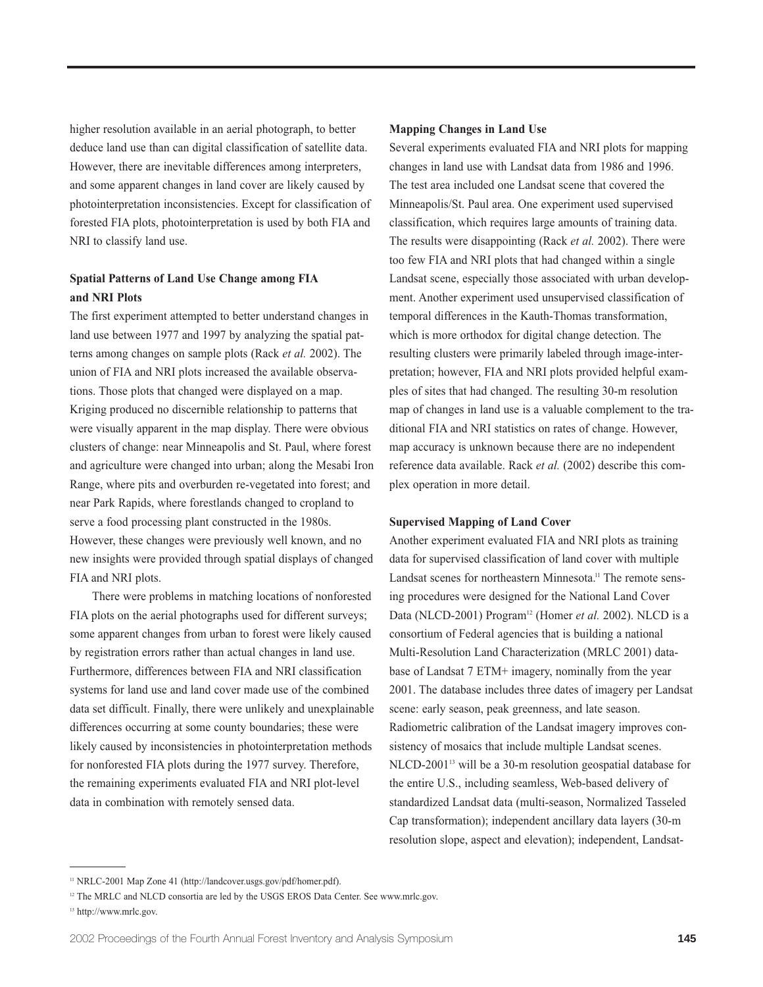higher resolution available in an aerial photograph, to better deduce land use than can digital classification of satellite data. However, there are inevitable differences among interpreters, and some apparent changes in land cover are likely caused by photointerpretation inconsistencies. Except for classification of forested FIA plots, photointerpretation is used by both FIA and NRI to classify land use.

### **Spatial Patterns of Land Use Change among FIA and NRI Plots**

The first experiment attempted to better understand changes in land use between 1977 and 1997 by analyzing the spatial patterns among changes on sample plots (Rack *et al.* 2002). The union of FIA and NRI plots increased the available observations. Those plots that changed were displayed on a map. Kriging produced no discernible relationship to patterns that were visually apparent in the map display. There were obvious clusters of change: near Minneapolis and St. Paul, where forest and agriculture were changed into urban; along the Mesabi Iron Range, where pits and overburden re-vegetated into forest; and near Park Rapids, where forestlands changed to cropland to serve a food processing plant constructed in the 1980s. However, these changes were previously well known, and no new insights were provided through spatial displays of changed FIA and NRI plots.

There were problems in matching locations of nonforested FIA plots on the aerial photographs used for different surveys; some apparent changes from urban to forest were likely caused by registration errors rather than actual changes in land use. Furthermore, differences between FIA and NRI classification systems for land use and land cover made use of the combined data set difficult. Finally, there were unlikely and unexplainable differences occurring at some county boundaries; these were likely caused by inconsistencies in photointerpretation methods for nonforested FIA plots during the 1977 survey. Therefore, the remaining experiments evaluated FIA and NRI plot-level data in combination with remotely sensed data.

#### **Mapping Changes in Land Use**

Several experiments evaluated FIA and NRI plots for mapping changes in land use with Landsat data from 1986 and 1996. The test area included one Landsat scene that covered the Minneapolis/St. Paul area. One experiment used supervised classification, which requires large amounts of training data. The results were disappointing (Rack *et al.* 2002). There were too few FIA and NRI plots that had changed within a single Landsat scene, especially those associated with urban development. Another experiment used unsupervised classification of temporal differences in the Kauth-Thomas transformation, which is more orthodox for digital change detection. The resulting clusters were primarily labeled through image-interpretation; however, FIA and NRI plots provided helpful examples of sites that had changed. The resulting 30-m resolution map of changes in land use is a valuable complement to the traditional FIA and NRI statistics on rates of change. However, map accuracy is unknown because there are no independent reference data available. Rack *et al.* (2002) describe this complex operation in more detail.

#### **Supervised Mapping of Land Cover**

Another experiment evaluated FIA and NRI plots as training data for supervised classification of land cover with multiple Landsat scenes for northeastern Minnesota.<sup>11</sup> The remote sensing procedures were designed for the National Land Cover Data (NLCD-2001) Program<sup>12</sup> (Homer et al. 2002). NLCD is a consortium of Federal agencies that is building a national Multi-Resolution Land Characterization (MRLC 2001) database of Landsat 7 ETM+ imagery, nominally from the year 2001. The database includes three dates of imagery per Landsat scene: early season, peak greenness, and late season. Radiometric calibration of the Landsat imagery improves consistency of mosaics that include multiple Landsat scenes. NLCD-2001<sup>13</sup> will be a 30-m resolution geospatial database for the entire U.S., including seamless, Web-based delivery of standardized Landsat data (multi-season, Normalized Tasseled Cap transformation); independent ancillary data layers (30-m resolution slope, aspect and elevation); independent, Landsat-

<sup>11</sup> NRLC-2001 Map Zone 41 (http://landcover.usgs.gov/pdf/homer.pdf).

<sup>&</sup>lt;sup>12</sup> The MRLC and NLCD consortia are led by the USGS EROS Data Center. See www.mrlc.gov.

<sup>13</sup> http://www.mrlc.gov.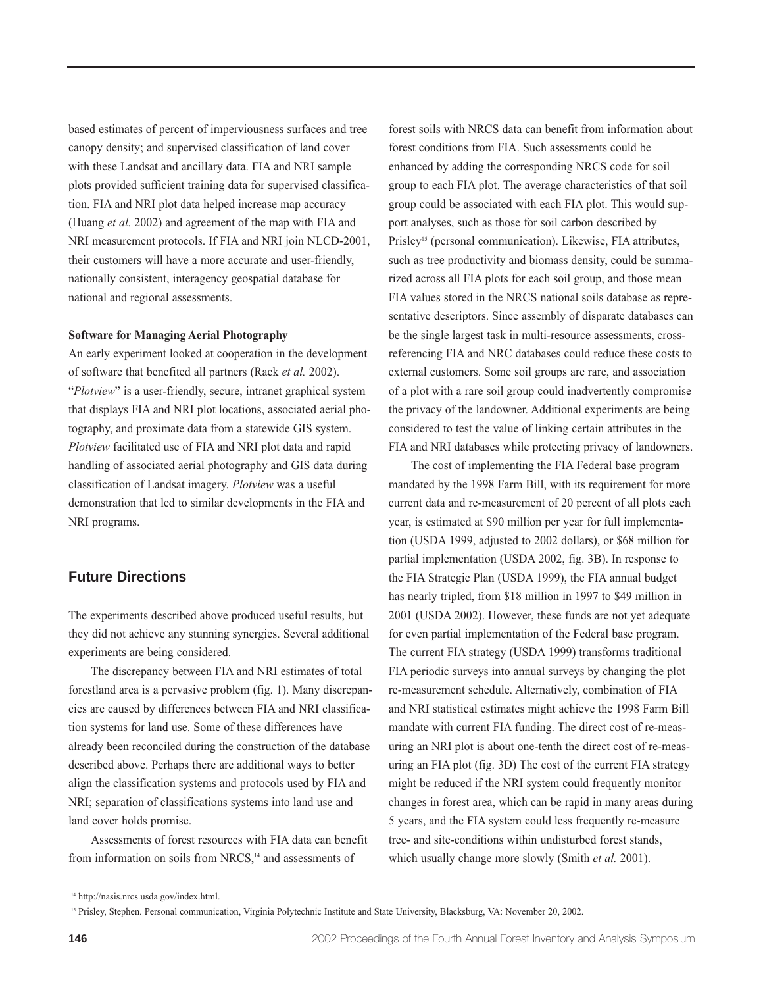based estimates of percent of imperviousness surfaces and tree canopy density; and supervised classification of land cover with these Landsat and ancillary data. FIA and NRI sample plots provided sufficient training data for supervised classification. FIA and NRI plot data helped increase map accuracy (Huang *et al.* 2002) and agreement of the map with FIA and NRI measurement protocols. If FIA and NRI join NLCD-2001, their customers will have a more accurate and user-friendly, nationally consistent, interagency geospatial database for national and regional assessments.

#### **Software for Managing Aerial Photography**

An early experiment looked at cooperation in the development of software that benefited all partners (Rack *et al.* 2002). "*Plotview*" is a user-friendly, secure, intranet graphical system that displays FIA and NRI plot locations, associated aerial photography, and proximate data from a statewide GIS system. *Plotview* facilitated use of FIA and NRI plot data and rapid handling of associated aerial photography and GIS data during classification of Landsat imagery. *Plotview* was a useful demonstration that led to similar developments in the FIA and NRI programs.

### **Future Directions**

The experiments described above produced useful results, but they did not achieve any stunning synergies. Several additional experiments are being considered.

The discrepancy between FIA and NRI estimates of total forestland area is a pervasive problem (fig. 1). Many discrepancies are caused by differences between FIA and NRI classification systems for land use. Some of these differences have already been reconciled during the construction of the database described above. Perhaps there are additional ways to better align the classification systems and protocols used by FIA and NRI; separation of classifications systems into land use and land cover holds promise.

Assessments of forest resources with FIA data can benefit from information on soils from NRCS,<sup>14</sup> and assessments of

forest soils with NRCS data can benefit from information about forest conditions from FIA. Such assessments could be enhanced by adding the corresponding NRCS code for soil group to each FIA plot. The average characteristics of that soil group could be associated with each FIA plot. This would support analyses, such as those for soil carbon described by Prisley<sup>15</sup> (personal communication). Likewise, FIA attributes, such as tree productivity and biomass density, could be summarized across all FIA plots for each soil group, and those mean FIA values stored in the NRCS national soils database as representative descriptors. Since assembly of disparate databases can be the single largest task in multi-resource assessments, crossreferencing FIA and NRC databases could reduce these costs to external customers. Some soil groups are rare, and association of a plot with a rare soil group could inadvertently compromise the privacy of the landowner. Additional experiments are being considered to test the value of linking certain attributes in the FIA and NRI databases while protecting privacy of landowners.

The cost of implementing the FIA Federal base program mandated by the 1998 Farm Bill, with its requirement for more current data and re-measurement of 20 percent of all plots each year, is estimated at \$90 million per year for full implementation (USDA 1999, adjusted to 2002 dollars), or \$68 million for partial implementation (USDA 2002, fig. 3B). In response to the FIA Strategic Plan (USDA 1999), the FIA annual budget has nearly tripled, from \$18 million in 1997 to \$49 million in 2001 (USDA 2002). However, these funds are not yet adequate for even partial implementation of the Federal base program. The current FIA strategy (USDA 1999) transforms traditional FIA periodic surveys into annual surveys by changing the plot re-measurement schedule. Alternatively, combination of FIA and NRI statistical estimates might achieve the 1998 Farm Bill mandate with current FIA funding. The direct cost of re-measuring an NRI plot is about one-tenth the direct cost of re-measuring an FIA plot (fig. 3D) The cost of the current FIA strategy might be reduced if the NRI system could frequently monitor changes in forest area, which can be rapid in many areas during 5 years, and the FIA system could less frequently re-measure tree- and site-conditions within undisturbed forest stands, which usually change more slowly (Smith *et al.* 2001).

<sup>14</sup> http://nasis.nrcs.usda.gov/index.html.

<sup>&</sup>lt;sup>15</sup> Prisley, Stephen. Personal communication, Virginia Polytechnic Institute and State University, Blacksburg, VA: November 20, 2002.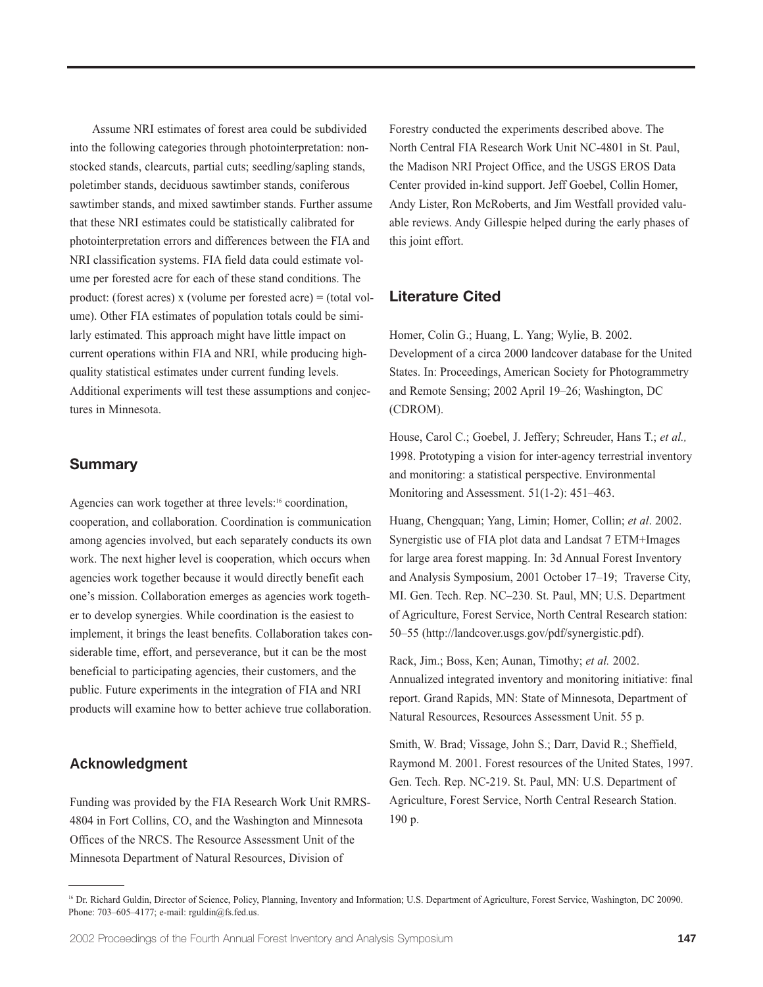Assume NRI estimates of forest area could be subdivided into the following categories through photointerpretation: nonstocked stands, clearcuts, partial cuts; seedling/sapling stands, poletimber stands, deciduous sawtimber stands, coniferous sawtimber stands, and mixed sawtimber stands. Further assume that these NRI estimates could be statistically calibrated for photointerpretation errors and differences between the FIA and NRI classification systems. FIA field data could estimate volume per forested acre for each of these stand conditions. The product: (forest acres) x (volume per forested acre) = (total volume). Other FIA estimates of population totals could be similarly estimated. This approach might have little impact on current operations within FIA and NRI, while producing highquality statistical estimates under current funding levels. Additional experiments will test these assumptions and conjectures in Minnesota.

## **Summary**

Agencies can work together at three levels:<sup>16</sup> coordination, cooperation, and collaboration. Coordination is communication among agencies involved, but each separately conducts its own work. The next higher level is cooperation, which occurs when agencies work together because it would directly benefit each one's mission. Collaboration emerges as agencies work together to develop synergies. While coordination is the easiest to implement, it brings the least benefits. Collaboration takes considerable time, effort, and perseverance, but it can be the most beneficial to participating agencies, their customers, and the public. Future experiments in the integration of FIA and NRI products will examine how to better achieve true collaboration.

# **Acknowledgment**

Funding was provided by the FIA Research Work Unit RMRS-4804 in Fort Collins, CO, and the Washington and Minnesota Offices of the NRCS. The Resource Assessment Unit of the Minnesota Department of Natural Resources, Division of

Forestry conducted the experiments described above. The North Central FIA Research Work Unit NC-4801 in St. Paul, the Madison NRI Project Office, and the USGS EROS Data Center provided in-kind support. Jeff Goebel, Collin Homer, Andy Lister, Ron McRoberts, and Jim Westfall provided valuable reviews. Andy Gillespie helped during the early phases of this joint effort.

# **Literature Cited**

Homer, Colin G.; Huang, L. Yang; Wylie, B. 2002. Development of a circa 2000 landcover database for the United States. In: Proceedings, American Society for Photogrammetry and Remote Sensing; 2002 April 19–26; Washington, DC (CDROM).

House, Carol C.; Goebel, J. Jeffery; Schreuder, Hans T.; *et al.,* 1998. Prototyping a vision for inter-agency terrestrial inventory and monitoring: a statistical perspective. Environmental Monitoring and Assessment. 51(1-2): 451–463.

Huang, Chengquan; Yang, Limin; Homer, Collin; *et al*. 2002. Synergistic use of FIA plot data and Landsat 7 ETM+Images for large area forest mapping. In: 3d Annual Forest Inventory and Analysis Symposium, 2001 October 17–19; Traverse City, MI. Gen. Tech. Rep. NC–230. St. Paul, MN; U.S. Department of Agriculture, Forest Service, North Central Research station: 50–55 (http://landcover.usgs.gov/pdf/synergistic.pdf).

Rack, Jim.; Boss, Ken; Aunan, Timothy; *et al.* 2002. Annualized integrated inventory and monitoring initiative: final report. Grand Rapids, MN: State of Minnesota, Department of Natural Resources, Resources Assessment Unit. 55 p.

Smith, W. Brad; Vissage, John S.; Darr, David R.; Sheffield, Raymond M. 2001. Forest resources of the United States, 1997. Gen. Tech. Rep. NC-219. St. Paul, MN: U.S. Department of Agriculture, Forest Service, North Central Research Station. 190 p.

<sup>&</sup>lt;sup>16</sup> Dr. Richard Guldin, Director of Science, Policy, Planning, Inventory and Information; U.S. Department of Agriculture, Forest Service, Washington, DC 20090. Phone:  $703-605-4177$ ; e-mail: rguldin $@f$ s.fed.us.